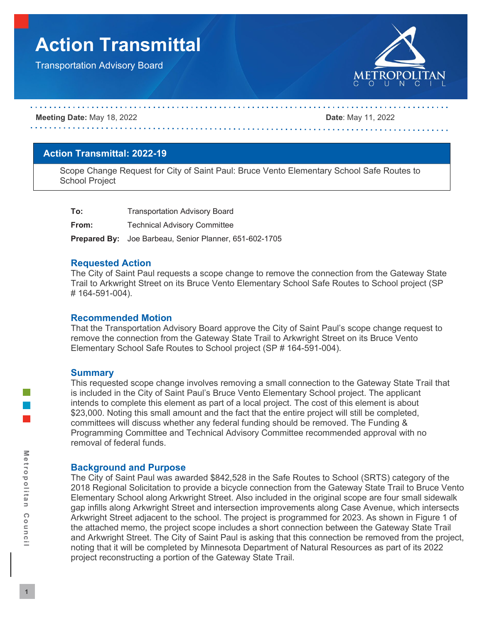# **Action Transmittal**

Transportation Advisory Board



#### **Meeting Date:** May 18, 2022 **Date**: May 11, 2022

## **Action Transmittal: 2022-19**

Scope Change Request for City of Saint Paul: Bruce Vento Elementary School Safe Routes to School Project

| To:   | <b>Transportation Advisory Board</b>                          |
|-------|---------------------------------------------------------------|
| From: | <b>Technical Advisory Committee</b>                           |
|       | <b>Prepared By:</b> Joe Barbeau, Senior Planner, 651-602-1705 |

### **Requested Action**

The City of Saint Paul requests a scope change to remove the connection from the Gateway State Trail to Arkwright Street on its Bruce Vento Elementary School Safe Routes to School project (SP # 164-591-004).

#### **Recommended Motion**

That the Transportation Advisory Board approve the City of Saint Paul's scope change request to remove the connection from the Gateway State Trail to Arkwright Street on its Bruce Vento Elementary School Safe Routes to School project (SP # 164-591-004).

#### **Summary**

This requested scope change involves removing a small connection to the Gateway State Trail that is included in the City of Saint Paul's Bruce Vento Elementary School project. The applicant intends to complete this element as part of a local project. The cost of this element is about \$23,000. Noting this small amount and the fact that the entire project will still be completed, committees will discuss whether any federal funding should be removed. The Funding & Programming Committee and Technical Advisory Committee recommended approval with no removal of federal funds.

## **Background and Purpose**

The City of Saint Paul was awarded \$842,528 in the Safe Routes to School (SRTS) category of the 2018 Regional Solicitation to provide a bicycle connection from the Gateway State Trail to Bruce Vento Elementary School along Arkwright Street. Also included in the original scope are four small sidewalk gap infills along Arkwright Street and intersection improvements along Case Avenue, which intersects Arkwright Street adjacent to the school. The project is programmed for 2023. As shown in Figure 1 of the attached memo, the project scope includes a short connection between the Gateway State Trail and Arkwright Street. The City of Saint Paul is asking that this connection be removed from the project, noting that it will be completed by Minnesota Department of Natural Resources as part of its 2022 project reconstructing a portion of the Gateway State Trail.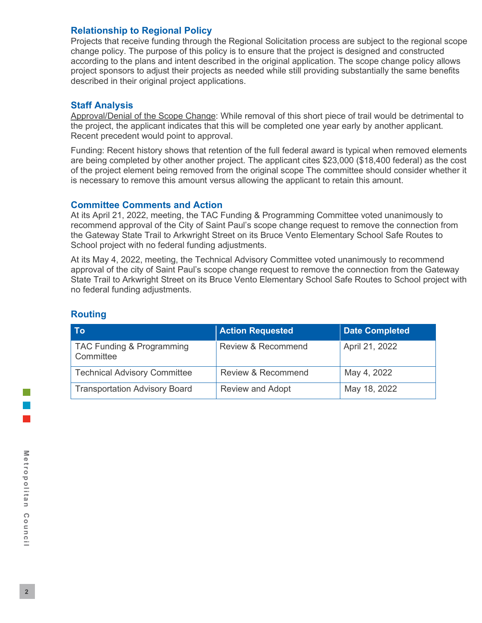# **Relationship to Regional Policy**

Projects that receive funding through the Regional Solicitation process are subject to the regional scope change policy. The purpose of this policy is to ensure that the project is designed and constructed according to the plans and intent described in the original application. The scope change policy allows project sponsors to adjust their projects as needed while still providing substantially the same benefits described in their original project applications.

# **Staff Analysis**

Approval/Denial of the Scope Change: While removal of this short piece of trail would be detrimental to the project, the applicant indicates that this will be completed one year early by another applicant. Recent precedent would point to approval.

Funding: Recent history shows that retention of the full federal award is typical when removed elements are being completed by other another project. The applicant cites \$23,000 (\$18,400 federal) as the cost of the project element being removed from the original scope The committee should consider whether it is necessary to remove this amount versus allowing the applicant to retain this amount.

# **Committee Comments and Action**

At its April 21, 2022, meeting, the TAC Funding & Programming Committee voted unanimously to recommend approval of the City of Saint Paul's scope change request to remove the connection from the Gateway State Trail to Arkwright Street on its Bruce Vento Elementary School Safe Routes to School project with no federal funding adjustments.

At its May 4, 2022, meeting, the Technical Advisory Committee voted unanimously to recommend approval of the city of Saint Paul's scope change request to remove the connection from the Gateway State Trail to Arkwright Street on its Bruce Vento Elementary School Safe Routes to School project with no federal funding adjustments.

| <b>To</b>                              | <b>Action Requested</b> | <b>Date Completed</b> |
|----------------------------------------|-------------------------|-----------------------|
| TAC Funding & Programming<br>Committee | Review & Recommend      | April 21, 2022        |
| <b>Technical Advisory Committee</b>    | Review & Recommend      | May 4, 2022           |
| <b>Transportation Advisory Board</b>   | <b>Review and Adopt</b> | May 18, 2022          |

# **Routing**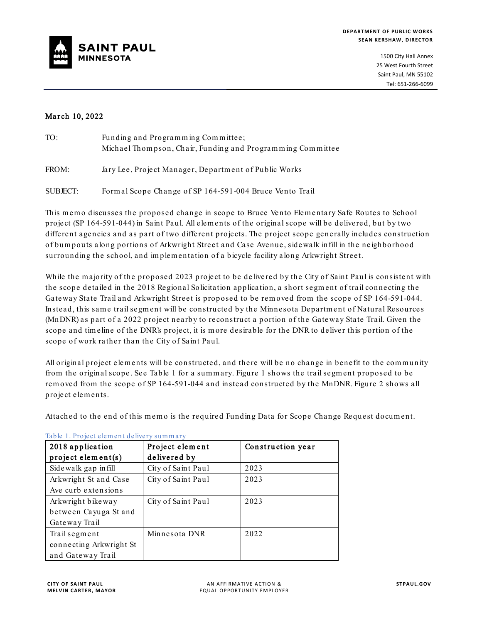

1500 City Hall Annex 25 West Fourth Street Saint Paul, MN 55102 Tel: 651-266-6099

#### March 10, 2022

| TO:      | Funding and Programming Committee;<br>Michael Thompson, Chair, Funding and Programming Committee |
|----------|--------------------------------------------------------------------------------------------------|
| FROM:    | Jary Lee, Project Manager, Department of Public Works                                            |
| SUBJECT: | Formal Scope Change of SP 164-591-004 Bruce Vento Trail                                          |

This memo discusses the proposed change in scope to Bruce Vento Elementary Safe Routes to School project (SP 164-591-044) in Saint Paul. All elem ents of the original scope will be delivered, but by two different agencies and as part of two different projects. The project scope generally includes construction of bum pouts along portions of Arkwright Street and Case Avenue, sidewalk infill in the neighborhood surrounding the school, and im plem entation of a bicycle facility along Arkwright Street.

While the majority of the proposed 2023 project to be delivered by the City of Saint Paul is consistent with the scope detailed in the 2018 Regional Solicitation application, a short segm ent of trail connecting the Gateway State Trail and Arkwright Street is proposed to be rem oved from the scope of SP 164-591-044. Instead, this sam e trail segm ent will be constructed by the Minnesota Departm ent of Natural Resources (MnDNR) as part of a 2022 project nearby to reconstruct a portion of the Gateway State Trail. Given the scope and tim eline of the DNR's project, it is m ore desirable for the DNR to deliver this portion of the scope of work rather than the City of Saint Paul.

All original project elements will be constructed, and there will be no change in benefit to the community from the original scope . See Table 1 for a sum m ary. Figure 1 shows the trail segm ent proposed to be rem oved from the scope of SP 164-591-044 and instead constructed by the MnDNR. Figure 2 shows all project elem ents.

Attached to the end of this memo is the required Funding Data for Scope Change Request document.

| 2018 application        | Project element    | Construction year |
|-------------------------|--------------------|-------------------|
| project element(s)      | delivered by       |                   |
| Sidewalk gap in fill    | City of Saint Paul | 2023              |
| Arkwright St and Case   | City of Saint Paul | 2023              |
| Ave curb extensions     |                    |                   |
| Arkwright bikeway       | City of Saint Paul | 2023              |
| between Cayuga St and   |                    |                   |
| Gateway Trail           |                    |                   |
| Trail segment           | Minnesota DNR      | 2022              |
| connecting Arkwright St |                    |                   |
| and Gateway Trail       |                    |                   |

#### Table 1. Project elem ent delivery sum m ary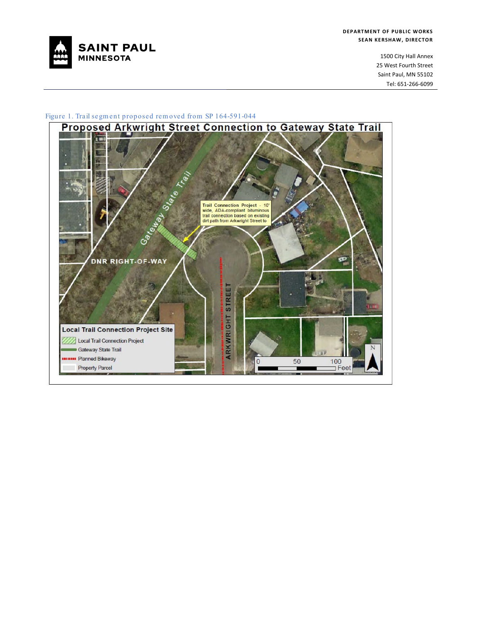

1500 City Hall Annex 25 West Fourth Street Saint Paul, MN 55102 Tel: 651-266-6099

#### Figure 1. Trail segm ent proposed rem oved from SP 164-591-044

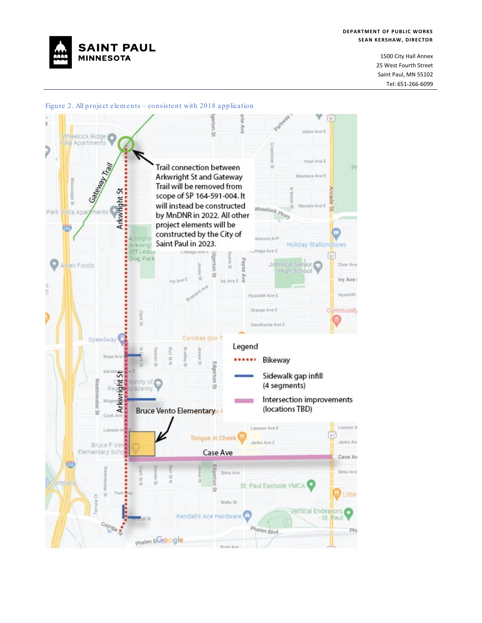

#### **DEPARTMENT OF PUBLIC WORKS SEAN KERSHAW, DIRECTOR**

1500 City Hall Annex 25 West Fourth Street Saint Paul, MN 55102 Tel: 651-266-6099



Figure 2. All project elem ents – consistent with 2018 application